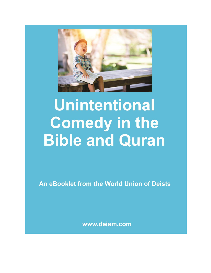

# **Unintentional Comedy in the Bible and Quran**

An eBooklet from the World Union of Deists

www.deism.com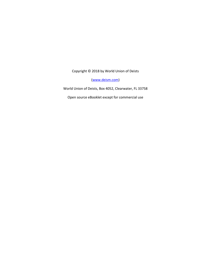Copyright © 2018 by World Union of Deists

[\(www.deism.com\)](http://www.deism.com/)

World Union of Deists, Box 4052, Clearwater, FL 33758

Open source eBooklet except for commercial use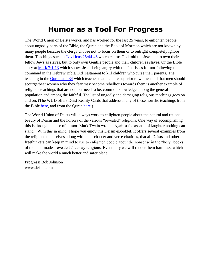### **Humor as a Tool For Progress**

The World Union of Deists works, and has worked for the last 25 years, to enlighten people about ungodly parts of the Bible, the Quran and the Book of Mormon which are not known by many people because the clergy choose not to focus on them or to outright completely ignore them. Teachings such as [Leviticus 25:44-46](https://skepticsannotatedbible.com/lev/25.html#44) which claims God told the Jews not to own their fellow Jews as slaves, but to only own Gentile people and their children as slaves. Or the Bible story at [Mark 7:1-13](https://skepticsannotatedbible.com/mk/7.html) which shows Jesus being angry with the Pharisees for not following the command in the Hebrew Bible/Old Testament to kill children who curse their parents. The teaching in the [Quran at 4:34](https://skepticsannotatedbible.com/quran/4/index.htm) which teaches that men are superior to women and that men should scourge/beat women who they fear may become rebellious towards them is another example of religious teachings that are not, but need to be, common knowledge among the general population and among the faithful. The list of ungodly and damaging religious teachings goes on and on. (The WUD offers Deist Reality Cards that address many of these horrific teachings from the Bible [here,](http://deism.com/deistrealitycards.htm) and from the Quran [here.](http://deism.com/deistrealitycardskoran.htm))

The World Union of Deists will always work to enlighten people about the natural and rational beauty of Deism and the horrors of the various "revealed" religions. One way of accomplishing this is through the use of humor. Mark Twain wrote, "Against the assault of laughter nothing can stand." With this in mind, I hope you enjoy this Deism eBooklet. It offers several examples from the religions themselves, along with their chapter and verse citations, that all Deists and other freethinkers can keep in mind to use to enlighten people about the nonsense in the "holy" books of the man-made "revealed"/hearsay religions. Eventually we will render them harmless, which will make the world a much better and safer place!

Progress! Bob Johnson www.deism.com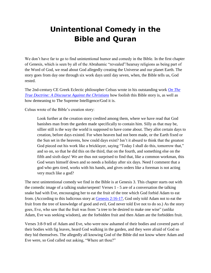## **Unintentional Comedy in the Bible and Quran**

We don't have far to go to find unintentional humor and comedy in the Bible. In the first chapter of Genesis, which is seen by all of the Abrahamic "revealed"/hearsay religions as being part of the Word of God, we read about God allegedly creating the Universe and our planet Earth. The story goes from day one through six work days until day seven, when, the Bible tells us, God rested.

The 2nd-century CE Greek Eclectic philosopher Celsus wrote in his outstanding work *[On The](https://www.amazon.com/True-Doctrine-Discourse-Against-Christians/dp/0195041518/ref=sr_1_1?ie=UTF8&qid=1530896465&sr=8-1&keywords=Celsus+on+the+true+doctrine)  [True Doctrine: A Discourse Against the Christians](https://www.amazon.com/True-Doctrine-Discourse-Against-Christians/dp/0195041518/ref=sr_1_1?ie=UTF8&qid=1530896465&sr=8-1&keywords=Celsus+on+the+true+doctrine)* how foolish this Bible story is, as well as how demeaning to The Supreme Intelligence/God it is.

Celsus wrote of the Bible's creation story:

Look further at the creation story credited among them, where we have read that God banishes man from the garden made specifically to contain him. Silly as that may be, sillier still is the way the world is supposed to have come about. They allot certain days to creation, before days existed. For when heaven had not been made, or the Earth fixed or the Sun set in the heavens, how could days exist? Isn't it absurd to think that the greatest God pieced out his work like a bricklayer, saying "Today I shall do this, tomorrow that," and so on, so that he did this on the third, that on the fourth, and something else on the fifth and sixth days! We are thus not surprised to find that, like a common workman, this God wears himself down and so needs a holiday after six days. Need I comment that a god who gets tired, works with his hands, and gives orders like a foreman is not acting very much like a god?

The next unintentional comedy we find in the Bible is at Genesis 3. This chapter starts out with the comedic image of a talking snake/serpent! Verses 1 - 5 are of a conversation the talking snake had with Eve, encouraging her to eat the fruit of the tree which God forbid Adam to eat from. (According to this ludicrous story at [Genesis 2:16-17,](https://skepticsannotatedbible.com/gen/2.html) God only told Adam not to eat the fruit from the tree of knowledge of good and evil, God never told Eve not to do so.) As the story goes, Eve, who saw that the fruit was from "a tree to be desired to make one wise" (unlike Adam, Eve was seeking wisdom), ate the forbidden fruit and then Adam ate the forbidden fruit.

Verses 3:8-9 tell of Adam and Eve, who were now ashamed of their bodies and covered parts of their bodies with fig leaves, heard God walking in the garden, and they were afraid of God so they hid themselves. The allegedly all knowing God of the Bible did not know where Adam and Eve were, so God called out asking, "Where art thou?"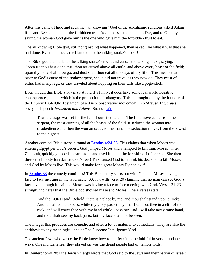After this game of hide and seek the "all knowing" God of the Abrahamic religions asked Adam if he and Eve had eaten of the forbidden tree. Adam passes the blame to Eve, and to God, by saying the woman God gave him is the one who gave him the forbidden fruit to eat.

The all knowing Bible god, still not grasping what happened, then asked Eve what it was that she had done. Eve then passes the blame on to the talking snake/serpent!

The Bible god then talks to the talking snake/serpent and curses the talking snake, saying, "Because thou hast done this, thou art cursed above all cattle, and above every beast of the field; upon thy belly shalt thou go, and dust shalt thou eat all the days of thy life." This means that prior to God's curse of the snake/serpent, snake did not travel as they now do. They must of either had many legs, or they traveled about hopping on their tails like a pogo-stick!

Even though this Bible story is so stupid it's funny, it does have some real world negative consequences, one of which is the promotion of misogyny. This is brought out by the founder of the Hebrew Bible/Old Testament based neoconservative movement, Leo Strauss. In Strauss' essay and speech *Jerusalem and Athens*, Strauss [said:](http://www.deism.com/strauss.htm)

Thus the stage was set for the fall of our first parents. The first move came from the serpent, the most cunning of all the beasts of the field. It seduced the woman into disobedience and then the woman seduced the man. The seduction moves from the lowest to the highest.

Another comical Bible story is found at [Exodus 4:24-25.](https://skepticsannotatedbible.com/ex/4.html) This claims that when Moses was entering Egypt per God's orders, God jumped Moses and attempted to kill him. Moses' wife, Zipporah, quickly grabbed a sharp stone and used it to cut the foreskin off of her son. She then threw the bloody foreskin at God's feet! This caused God to rethink his decision to kill Moses, and God let Moses live. This would make for a great Monty Python skit!

In [Exodus 33](https://skepticsannotatedbible.com/ex/33.html) the comedy continues! This Bible story starts out with God and Moses having a face to face meeting in the tabernacle (33:11), with verse 20 claiming that no man can see God's face, even though it claimed Moses was having a face to face meeting with God. Verses 21-23 strongly indicates that the Bible god showed his ass to Moses! These verses state:

And the LORD said, Behold, there is a place by me, and thou shalt stand upon a rock: And it shall come to pass, while my glory passeth by, that I will put thee in a clift of the rock, and will cover thee with my hand while I pass by: And I will take away mine hand, and thou shalt see my back parts: but my face shall not be seen.

The images this produces are comedic and offer a lot of material to comedians! They are also the antithesis to any meaningful idea of The Supreme Intelligence/God.

The ancient Jews who wrote the Bible knew how to put fear into the faithful in very mundane ways. One mundane fear they played on was the dread people had of hemorrhoids!

In Deuteronomy 28:1 the Jewish clergy wrote that God said to the Jews and their nation of Israel: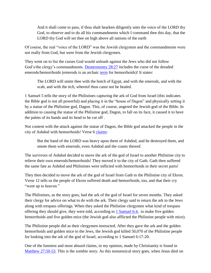And it shall come to pass, if thou shalt hearken diligently unto the voice of the LORD thy God, to observe and to do all his commandments which I command thee this day, that the LORD thy God will set thee on high above all nations of the earth

Of course, the real "voice of the LORD" was the Jewish clergymen and the commandments were not really from God, but were from the Jewish clergymen.

They went on to list the curses God would unleash against the Jews who did not follow God's/the clergy's commandments. [Deuteronomy 28:27](https://skepticsannotatedbible.com/dt/28.html#27) includes the curse of the dreaded emerods/hemorrhoids (emerods is an archaic [term](https://en.wikipedia.org/wiki/Emerods) for hemorrhoids)! It states:

The LORD will smite thee with the botch of Egypt, and with the emerods, and with the scab, and with the itch, whereof thou canst not be healed.

1 Samuel 5 tells the story of the Philistines capturing the ark of God from Israel (this indicates the Bible god is not all powerful) and placing it in the "house of Dagon" and physically setting it by a statue of the Philistine god, Dagon. This, of course, angered the Jewish god of the Bible. In addition to causing the statue of the Philistine god, Dagon, to fall on its face, it caused it to have the palms of its hands and its head to be cut off .

Not content with the attack against the statue of Dagon, the Bible god attacked the people in the city of Ashdod with hemorrhoids! Verse 6 [claims:](https://skepticsannotatedbible.com/1sam/5.html#6)

But the hand of the LORD was heavy upon them of Ashdod, and he destroyed them, and smote them with emerods, even Ashdod and the coasts thereof.

The survivors of Ashdod decided to move the ark of the god of Israel to another Philistine city to relieve their own emerods/hemorrhoids! They moved it to the city of Gath. Gath then suffered the same fate as Ashdod and Philistines were inflicted with hemorrhoids in their secret parts!

They then decided to move the ark of the god of Israel from Gath to the Philistine city of Ekron. Verse 12 tells us the people of Ekron suffered death and hemorrhoids, too, and that their cry "went up to heaven."

The Philistines, as the story goes, had the ark of the god of Israel for seven months. They asked their clergy for advice on what to do with the ark. Their clergy said to return the ark to the Jews along with trespass offerings. When they asked the Philistine clergymen what kind of trespass offering they should give, they were told, according to [1 Samuel 6:4,](https://skepticsannotatedbible.com/1sam/6.html#4) to make five golden hemorrhoids and five golden mice (the Jewish god also afflicted the Philistine people with mice).

The Philistine people did as their clergymen instructed. After they gave the ark and the golden hemorrhoids and golden mice to the Jews, the Jewish god killed 50,070 of the Philistine people for looking into the ark of the god of Israel, according to 1 Samuel 6:17-20.

One of the funniest and most absurd claims, in my opinion, made by Christianity is found in [Matthew 27:50-53.](https://skepticsannotatedbible.com/mt/27.html) This is the zombie story. As this nonsensical story goes, when Jesus died on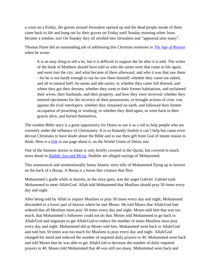a cross on a Friday, the graves around Jerusalem opened up and the dead people inside of them came back to life and hung out by their graves on Friday until Sunday morning when Jesus became a zombie, too! On Sunday they all strolled into Jerusalem and "appeared unto many".

Thomas Paine did an outstanding job of addressing this Christian nonsense in *[The Age of Reason](http://deism.com/theageofreason.htm)* when he wrote:

It is an easy thing to tell a lie, but it is difficult to support the lie after it is told. The writer of the book of Matthew should have told us who the saints were that came to life again, and went into the city, and what became of them afterward, and who it was that saw them - for he is not hardy enough to say he saw them himself; whether they came out naked, and all in natural buff, he-saints and she-saints; or whether they came full dressed, and where they got their dresses; whether they went to their former habitations, and reclaimed their wives, their husbands, and their property, and how they were received; whether they entered ejectments for the recovery of their possessions, or brought actions of crim. con. against the rival interlopers; whether they remained on earth, and followed their former occupation of preaching or working; or whether they died again, or went back to their graves alive, and buried themselves.

The zombie Bible story is a great opportunity for Deists to use it as a toll to help people who are currently under the influence of Christianity. It is so blatantly foolish it can't help but cause even devout Christians to have doubt about the Bible and to use their gift from God of innate reason to think. Here is a  $\frac{\text{link}}{\text{link}}$  to our page about it, on the World Union of Deists site.

One of the funniest stories in Islam is only briefly covered in the Quran, but covered in much more detail in [Hadith: Isra and Mi'raj.](https://www.islamawareness.net/Isra/hadith.html) Hadiths are alleged sayings of Mohammed.

This nonsensical and unintentionally funny Islamic story tells of Mohammed flying up to heaven on the back of a Buraq. A Buraq is a horse-like creature that flies.

Mohammed's guide while in heaven, as the story goes, was the angel Gabriel. Gabriel took Mohammed to meet Allah/God. Allah told Mohammed that Muslims should pray 50 times every day and night.

After being told by Allah to require Muslims to pray 50 times every day and night, Mohammed descended to a lower part of heaven where he met Moses. He told Moses that Allah/God had ordered that all Muslims must pray 50 times every day and night. Moses told him that was too much, that Mohammed's followers could not do that. Moses told Mohammed to go back to Allah/God and negotiate to get Allah/God to reduce the number of times Muslims must pray every day and night. Mohammed did as Moses told him. Mohammed went back to Allah/God and told him 50 times was too much for Muslims to pray every day and night. Allah/God changed his mind and reduced the number of required daily prayers to 40. Mohammed went back and told Moses that he was able to get Allah/God to decrease the number of daily required prayers to 40. Moses told Mohammed that 40 was still too many. Mohammed went back and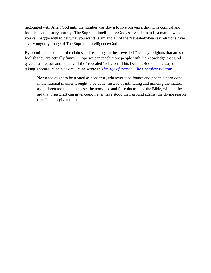negotiated with Allah/God until the number was down to five prayers a day. This comical and foolish Islamic story portrays The Supreme Intelligence/God as a vender at a flea market who you can haggle with to get what you want! Islam and all of the "revealed"/hearsay religions have a very ungodly image of The Supreme Intelligence/God!

By pointing out some of the claims and teachings in the "revealed"/hearsay religions that are so foolish they are actually funny, I hope we can reach more people with the knowledge that God gave us all reason and not any of the "revealed" religions. This Deism eBooklet is a way of taking Thomas Paine's advice. Paine wrote in *[The Age of Reason, The Complete Edition](http://deism.com/the_age_of_reason_paine.htm)*:

Nonsense ought to be treated as nonsense, wherever it be found; and had this been done in the rational manner it ought to be done, instead of intimating and mincing the matter, as has been too much the case, the nonsense and false doctrine of the Bible, with all the aid that priestcraft can give, could never have stood their ground against the divine reason that God has given to man.